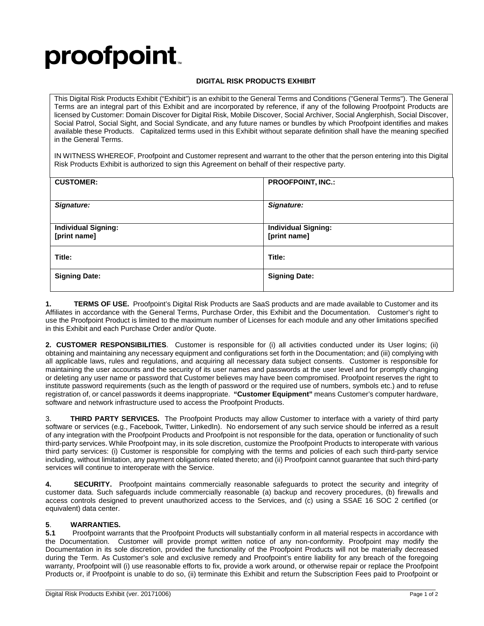## **proofpoint**

## **DIGITAL RISK PRODUCTS EXHIBIT**

This Digital Risk Products Exhibit ("Exhibit") is an exhibit to the General Terms and Conditions ("General Terms"). The General Terms are an integral part of this Exhibit and are incorporated by reference, if any of the following Proofpoint Products are licensed by Customer: Domain Discover for Digital Risk, Mobile Discover, Social Archiver, Social Anglerphish, Social Discover, Social Patrol, Social Sight, and Social Syndicate, and any future names or bundles by which Proofpoint identifies and makes available these Products. Capitalized terms used in this Exhibit without separate definition shall have the meaning specified in the General Terms.

IN WITNESS WHEREOF, Proofpoint and Customer represent and warrant to the other that the person entering into this Digital Risk Products Exhibit is authorized to sign this Agreement on behalf of their respective party.

| <b>CUSTOMER:</b>                           | <b>PROOFPOINT, INC.:</b>                   |
|--------------------------------------------|--------------------------------------------|
| Signature:                                 | Signature:                                 |
| <b>Individual Signing:</b><br>[print name] | <b>Individual Signing:</b><br>[print name] |
| Title:                                     | Title:                                     |
| <b>Signing Date:</b>                       | <b>Signing Date:</b>                       |

**1. TERMS OF USE.** Proofpoint's Digital Risk Products are SaaS products and are made available to Customer and its Affiliates in accordance with the General Terms, Purchase Order, this Exhibit and the Documentation. Customer's right to use the Proofpoint Product is limited to the maximum number of Licenses for each module and any other limitations specified in this Exhibit and each Purchase Order and/or Quote.

**2. CUSTOMER RESPONSIBILITIES**. Customer is responsible for (i) all activities conducted under its User logins; (ii) obtaining and maintaining any necessary equipment and configurations set forth in the Documentation; and (iii) complying with all applicable laws, rules and regulations, and acquiring all necessary data subject consents. Customer is responsible for maintaining the user accounts and the security of its user names and passwords at the user level and for promptly changing or deleting any user name or password that Customer believes may have been compromised. Proofpoint reserves the right to institute password requirements (such as the length of password or the required use of numbers, symbols etc.) and to refuse registration of, or cancel passwords it deems inappropriate. **"Customer Equipment"** means Customer's computer hardware, software and network infrastructure used to access the Proofpoint Products.

3. **THIRD PARTY SERVICES.** The Proofpoint Products may allow Customer to interface with a variety of third party software or services (e.g., Facebook, Twitter, LinkedIn). No endorsement of any such service should be inferred as a result of any integration with the Proofpoint Products and Proofpoint is not responsible for the data, operation or functionality of such third-party services. While Proofpoint may, in its sole discretion, customize the Proofpoint Products to interoperate with various third party services: (i) Customer is responsible for complying with the terms and policies of each such third-party service including, without limitation, any payment obligations related thereto; and (ii) Proofpoint cannot guarantee that such third-party services will continue to interoperate with the Service.

**4. SECURITY.** Proofpoint maintains commercially reasonable safeguards to protect the security and integrity of customer data. Such safeguards include commercially reasonable (a) backup and recovery procedures, (b) firewalls and access controls designed to prevent unauthorized access to the Services, and (c) using a SSAE 16 SOC 2 certified (or equivalent) data center.

## **5**. **WARRANTIES.**

**5.1** Proofpoint warrants that the Proofpoint Products will substantially conform in all material respects in accordance with the Documentation. Customer will provide prompt written notice of any non-conformity. Proofpoint may modify the Documentation in its sole discretion, provided the functionality of the Proofpoint Products will not be materially decreased during the Term. As Customer's sole and exclusive remedy and Proofpoint's entire liability for any breach of the foregoing warranty, Proofpoint will (i) use reasonable efforts to fix, provide a work around, or otherwise repair or replace the Proofpoint Products or, if Proofpoint is unable to do so, (ii) terminate this Exhibit and return the Subscription Fees paid to Proofpoint or

\_\_\_\_\_\_\_\_\_\_\_\_\_\_\_\_\_\_\_\_\_\_\_\_\_\_\_\_\_\_\_\_\_\_\_\_\_\_\_\_\_\_\_\_\_\_\_\_\_\_\_\_\_\_\_\_\_\_\_\_\_\_\_\_\_\_\_\_\_\_\_\_\_\_\_\_\_\_\_\_\_\_\_\_\_\_\_\_\_\_\_\_\_\_\_\_\_\_\_\_\_\_\_\_\_\_\_\_\_\_\_